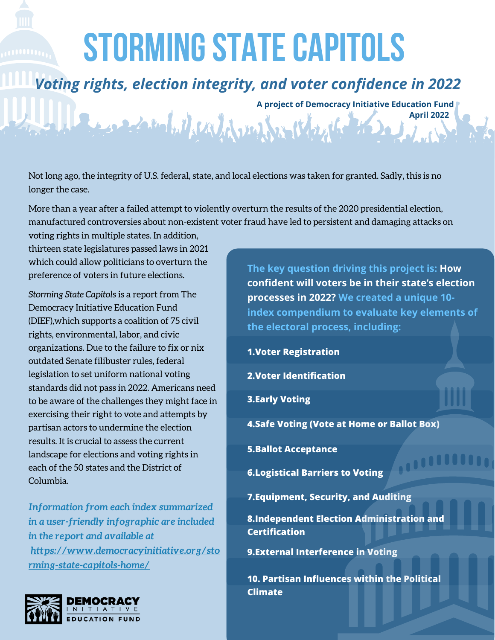## **STORMING STATE CAPITOLS**

## *Voting rights, election integrity, and voter confidence in 2022*

A project of Democracy Initiative Education Fund<br>April 2022<br>April 2022

**April 2022**

,,,,,,,,,,

Not long ago, the integrity of U.S. federal, state, and local elections was taken for granted. Sadly, this is no longer the case.

More than a year after a failed attempt to violently overturn the results of the 2020 presidential election, manufactured controversies about non-existent voter fraud have led to persistent and damaging attacks on

voting rights in multiple states. In addition, thirteen state legislatures passed laws in 2021 which could allow politicians to overturn the preference of voters in future elections.

*Storming State Capitols* is a report from The Democracy Initiative Education Fund (DIEF),which supports a coalition of 75 civil rights, environmental, labor, and civic organizations. Due to the failure to fix or nix outdated Senate filibuster rules, federal legislation to set uniform national voting standards did not pass in 2022. Americans need to be aware of the challenges they might face in exercising their right to vote and attempts by partisan actors to undermine the election results. It is crucial to assess the current landscape for elections and voting rights in each of the 50 states and the District of Columbia.

*Information from each index summarized in a user-friendly infographic are included in the report and available at [https://www.democracyinitiative.org/sto](https://www.democracyinitiative.org/storming-state-capitols-home/) [rming-state-capitols-home/](https://www.democracyinitiative.org/storming-state-capitols-home/)*



**The key question driving this project is: How confident will voters be in their state's election processes in 2022? We created a unique 10 index compendium to evaluate key elements of the electoral process, including:**

**1.Voter Registration**

**2.Voter Identification**

**3.Early Voting**

**4.Safe Voting (Vote at Home or Ballot Box)**

**5.Ballot Acceptance**

**6.Logistical Barriers to Voting**

**7.Equipment, Security, and Auditing**

**8.Independent Election Administration and Certification**

**9.External Interference in Voting**

**10. Partisan Influences within the Political Climate**